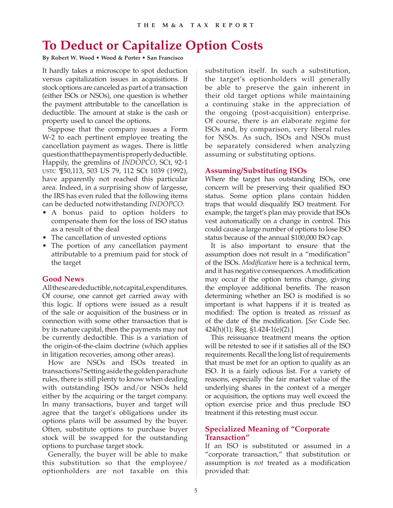## **To Deduct or Capitalize Option Costs**

#### **By Robert W. Wood • Wood & Porter • San Francisco**

It hardly takes a microscope to spot deduction versus capitalization issues in acquisitions. If stock options are canceled as part of a transaction (either ISOs or NSOs), one question is whether the payment attributable to the cancellation is deductible. The amount at stake is the cash or property used to cancel the options.

Suppose that the company issues a Form W-2 to each pertinent employee treating the cancellation payment as wages. There is little question that the payment is properly deductible. Happily, the gremlins of *INDOPCO,* SCt, 92-1 USTC ¶50,113, 503 US 79, 112 SCt 1039 (1992), have apparently not reached this particular area. Indeed, in a surprising show of largesse, the IRS has even ruled that the following items can be deducted notwithstanding *INDOPCO*:

- A bonus paid to option holders to compensate them for the loss of ISO status as a result of the deal
- The cancellation of unvested options
- The portion of any cancellation payment attributable to a premium paid for stock of the target

## **Good News**

All these are deductible, not capital, expenditures. Of course, one cannot get carried away with this logic. If options were issued as a result of the sale or acquisition of the business or in connection with some other transaction that is by its nature capital, then the payments may not be currently deductible. This is a variation of the origin-of-the-claim doctrine (which applies in litigation recoveries, among other areas).

How are NSOs and ISOs treated in transactions? Setting aside the golden parachute rules, there is still plenty to know when dealing with outstanding ISOs and/or NSOs held either by the acquiring or the target company. In many transactions, buyer and target will agree that the target's obligations under its options plans will be assumed by the buyer. Often, substitute options to purchase buyer stock will be swapped for the outstanding options to purchase target stock.

Generally, the buyer will be able to make this substitution so that the employee/ optionholders are not taxable on this substitution itself. In such a substitution, the target's optionholders will generally be able to preserve the gain inherent in their old target options while maintaining a continuing stake in the appreciation of the ongoing (post-acquisition) enterprise. Of course, there is an elaborate regime for ISOs and, by comparison, very liberal rules for NSOs. As such, ISOs and NSOs must be separately considered when analyzing assuming or substituting options.

### **Assuming/Substituting ISOs**

Where the target has outstanding ISOs, one concern will be preserving their qualified ISO status. Some option plans contain hidden traps that would disqualify ISO treatment. For example, the target's plan may provide that ISOs vest automatically on a change in control. This could cause a large number of options to lose ISO status because of the annual \$100,000 ISO cap.

It is also important to ensure that the assumption does not result in a "modification" of the ISOs. *Modification* here is a technical term, and it has negative consequences. A modification may occur if the option terms change, giving the employee additional benefits. The reason determining whether an ISO is modified is so important is what happens if it is treated as modified: The option is treated as *reissued* as of the date of the modification. [*See* Code Sec. 424(h)(1); Reg. §1.424-1(e)(2).]

This reissuance treatment means the option will be retested to see if it satisfies all of the ISO requirements. Recall the long list of requirements that must be met for an option to qualify as an ISO. It is a fairly odious list. For a variety of reasons, especially the fair market value of the underlying shares in the context of a merger or acquisition, the options may well exceed the option exercise price and thus preclude ISO treatment if this retesting must occur.

## **Specialized Meaning of "Corporate Transaction"**

If an ISO is substituted or assumed in a "corporate transaction," that substitution or assumption is *not* treated as a modification provided that: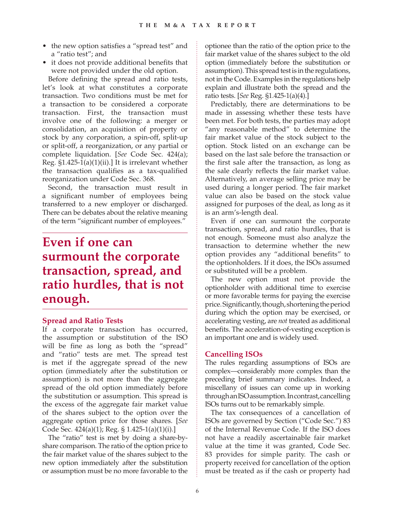- the new option satisfies a "spread test" and a "ratio test"; and
- it does not provide additional benefits that were not provided under the old option.

Before defining the spread and ratio tests, let's look at what constitutes a corporate transaction. Two conditions must be met for a transaction to be considered a corporate transaction. First, the transaction must involve one of the following: a merger or consolidation, an acquisition of property or stock by any corporation, a spin-off, split-up or split-off, a reorganization, or any partial or complete liquidation. [*See* Code Sec. 424(a); Reg. §1.425-1(a)(1)(ii).] It is irrelevant whether the transaction qualifies as a tax-qualified reorganization under Code Sec. 368.

Second, the transaction must result in a significant number of employees being transferred to a new employer or discharged. There can be debates about the relative meaning of the term "significant number of employees."

# **Even if one can surmount the corporate transaction, spread, and ratio hurdles, that is not enough.**

#### **Spread and Ratio Tests**

If a corporate transaction has occurred, the assumption or substitution of the ISO will be fine as long as both the "spread" and "ratio" tests are met. The spread test is met if the aggregate spread of the new option (immediately after the substitution or assumption) is not more than the aggregate spread of the old option immediately before the substitution or assumption. This spread is the excess of the aggregate fair market value of the shares subject to the option over the aggregate option price for those shares. [*See*  Code Sec. 424(a)(1); Reg. § 1.425-1(a)(1)(i).]

The "ratio" test is met by doing a share-byshare comparison. The ratio of the option price to the fair market value of the shares subject to the new option immediately after the substitution or assumption must be no more favorable to the

optionee than the ratio of the option price to the fair market value of the shares subject to the old option (immediately before the substitution or assumption). This spread test is in the regulations, not in the Code. Examples in the regulations help explain and illustrate both the spread and the ratio tests. [*See* Reg. §1.425-1(a)(4).]

Predictably, there are determinations to be made in assessing whether these tests have been met. For both tests, the parties may adopt "any reasonable method" to determine the fair market value of the stock subject to the option. Stock listed on an exchange can be based on the last sale before the transaction or the first sale after the transaction, as long as the sale clearly reflects the fair market value. Alternatively, an average selling price may be used during a longer period. The fair market value can also be based on the stock value assigned for purposes of the deal, as long as it is an arm's-length deal.

Even if one can surmount the corporate transaction, spread, and ratio hurdles, that is not enough. Someone must also analyze the transaction to determine whether the new option provides any "additional benefits" to the optionholders. If it does, the ISOs assumed or substituted will be a problem.

The new option must not provide the optionholder with additional time to exercise or more favorable terms for paying the exercise price. Significantly, though, shortening the period during which the option may be exercised, or accelerating vesting, are *not* treated as additional benefits. The acceleration-of-vesting exception is an important one and is widely used.

## **Cancelling ISOs**

The rules regarding assumptions of ISOs are complex—considerably more complex than the preceding brief summary indicates. Indeed, a miscellany of issues can come up in working through an ISO assumption. In contrast, cancelling ISOs turns out to be remarkably simple.

The tax consequences of a cancellation of ISOs are governed by Section ("Code Sec.") 83 of the Internal Revenue Code. If the ISO does not have a readily ascertainable fair market value at the time it was granted, Code Sec. 83 provides for simple parity. The cash or property received for cancellation of the option must be treated as if the cash or property had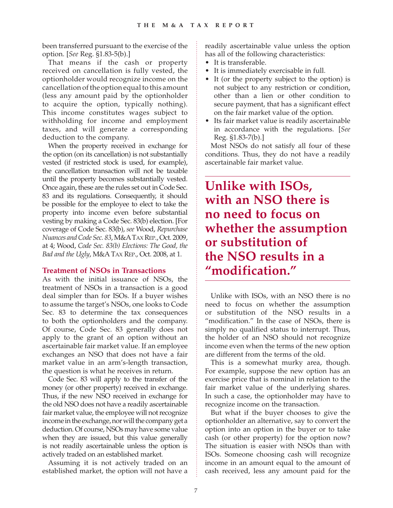been transferred pursuant to the exercise of the option. [*See* Reg. §1.83-5(b).]

That means if the cash or property received on cancellation is fully vested, the optionholder would recognize income on the cancellation of the option equal to this amount (less any amount paid by the optionholder to acquire the option, typically nothing). This income constitutes wages subject to withholding for income and employment taxes, and will generate a corresponding deduction to the company.

When the property received in exchange for the option (on its cancellation) is not substantially vested (if restricted stock is used, for example), the cancellation transaction will not be taxable until the property becomes substantially vested. Once again, these are the rules set out in Code Sec. 83 and its regulations. Consequently, it should be possible for the employee to elect to take the property into income even before substantial vesting by making a Code Sec. 83(b) election. [For coverage of Code Sec. 83(b), *see* Wood, *Repurchase Nuances and Code Sec. 83*, M&A TAX REP., Oct. 2009, at 4; Wood, *Code Sec. 83(b) Elections: The Good, the Bad and the Ugly*, M&A TAX REP., Oct. 2008, at 1.

#### **Treatment of NSOs in Transactions**

As with the initial issuance of NSOs, the treatment of NSOs in a transaction is a good deal simpler than for ISOs. If a buyer wishes to assume the target's NSOs, one looks to Code Sec. 83 to determine the tax consequences to both the optionholders and the company. Of course, Code Sec. 83 generally does not apply to the grant of an option without an ascertainable fair market value. If an employee exchanges an NSO that does not have a fair market value in an arm's-length transaction, the question is what he receives in return.

Code Sec. 83 will apply to the transfer of the money (or other property) received in exchange. Thus, if the new NSO received in exchange for the old NSO does not have a readily ascertainable fair market value, the employee will not recognize income in the exchange, nor will the company get a deduction. Of course, NSOs may have some value when they are issued, but this value generally is not readily ascertainable unless the option is actively traded on an established market.

Assuming it is not actively traded on an established market, the option will not have a readily ascertainable value unless the option has all of the following characteristics:

- It is transferable.
- It is immediately exercisable in full.
- It (or the property subject to the option) is not subject to any restriction or condition, other than a lien or other condition to secure payment, that has a significant effect on the fair market value of the option.
- Its fair market value is readily ascertainable in accordance with the regulations. [*See*  Reg. §1.83-7(b).]

Most NSOs do not satisfy all four of these conditions. Thus, they do not have a readily ascertainable fair market value.

## **Unlike with ISOs, with an NSO there is no need to focus on whether the assumption or substitution of the NSO results in a "modification."**

Unlike with ISOs, with an NSO there is no need to focus on whether the assumption or substitution of the NSO results in a "modification." In the case of NSOs, there is simply no qualified status to interrupt. Thus, the holder of an NSO should not recognize income even when the terms of the new option are different from the terms of the old.

This is a somewhat murky area, though. For example, suppose the new option has an exercise price that is nominal in relation to the fair market value of the underlying shares. In such a case, the optionholder may have to recognize income on the transaction.

But what if the buyer chooses to give the optionholder an alternative, say to convert the option into an option in the buyer or to take cash (or other property) for the option now? The situation is easier with NSOs than with ISOs. Someone choosing cash will recognize income in an amount equal to the amount of cash received, less any amount paid for the